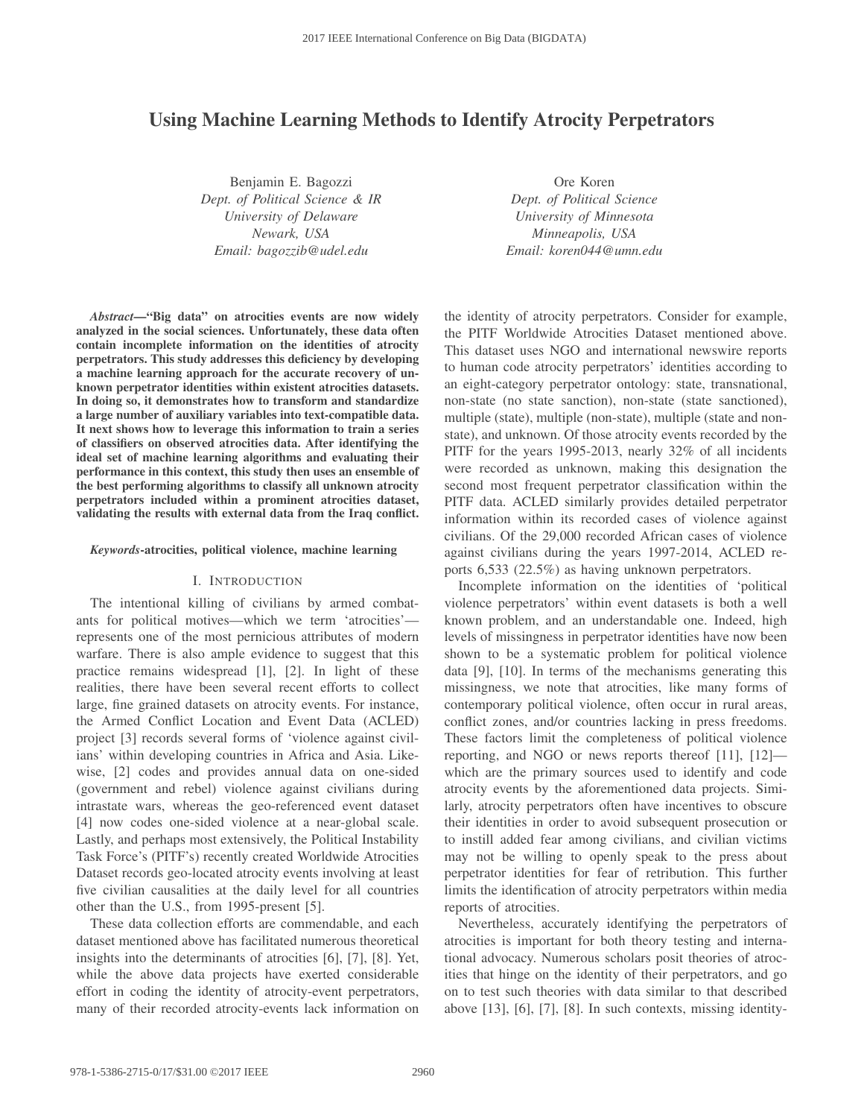# Using Machine Learning Methods to Identify Atrocity Perpetrators

Benjamin E. Bagozzi *Dept. of Political Science & IR University of Delaware Newark, USA Email: bagozzib@udel.edu*

*Abstract*—"Big data" on atrocities events are now widely analyzed in the social sciences. Unfortunately, these data often contain incomplete information on the identities of atrocity perpetrators. This study addresses this deficiency by developing a machine learning approach for the accurate recovery of unknown perpetrator identities within existent atrocities datasets. In doing so, it demonstrates how to transform and standardize a large number of auxiliary variables into text-compatible data. It next shows how to leverage this information to train a series of classifiers on observed atrocities data. After identifying the ideal set of machine learning algorithms and evaluating their performance in this context, this study then uses an ensemble of the best performing algorithms to classify all unknown atrocity perpetrators included within a prominent atrocities dataset, validating the results with external data from the Iraq conflict.

#### *Keywords*-atrocities, political violence, machine learning

#### I. INTRODUCTION

The intentional killing of civilians by armed combatants for political motives—which we term 'atrocities' represents one of the most pernicious attributes of modern warfare. There is also ample evidence to suggest that this practice remains widespread [1], [2]. In light of these realities, there have been several recent efforts to collect large, fine grained datasets on atrocity events. For instance, the Armed Conflict Location and Event Data (ACLED) project [3] records several forms of 'violence against civilians' within developing countries in Africa and Asia. Likewise, [2] codes and provides annual data on one-sided (government and rebel) violence against civilians during intrastate wars, whereas the geo-referenced event dataset [4] now codes one-sided violence at a near-global scale. Lastly, and perhaps most extensively, the Political Instability Task Force's (PITF's) recently created Worldwide Atrocities Dataset records geo-located atrocity events involving at least five civilian causalities at the daily level for all countries other than the U.S., from 1995-present [5].

These data collection efforts are commendable, and each dataset mentioned above has facilitated numerous theoretical insights into the determinants of atrocities [6], [7], [8]. Yet, while the above data projects have exerted considerable effort in coding the identity of atrocity-event perpetrators, many of their recorded atrocity-events lack information on

*Minneapolis, USA Email: koren044@umn.edu* the identity of atrocity perpetrators. Consider for example, the PITF Worldwide Atrocities Dataset mentioned above. This dataset uses NGO and international newswire reports to human code atrocity perpetrators' identities according to an eight-category perpetrator ontology: state, transnational, non-state (no state sanction), non-state (state sanctioned), multiple (state), multiple (non-state), multiple (state and non-

Ore Koren *Dept. of Political Science University of Minnesota*

state), and unknown. Of those atrocity events recorded by the PITF for the years 1995-2013, nearly 32% of all incidents were recorded as unknown, making this designation the second most frequent perpetrator classification within the PITF data. ACLED similarly provides detailed perpetrator information within its recorded cases of violence against civilians. Of the 29,000 recorded African cases of violence against civilians during the years 1997-2014, ACLED reports 6,533 (22.5%) as having unknown perpetrators.

Incomplete information on the identities of 'political violence perpetrators' within event datasets is both a well known problem, and an understandable one. Indeed, high levels of missingness in perpetrator identities have now been shown to be a systematic problem for political violence data [9], [10]. In terms of the mechanisms generating this missingness, we note that atrocities, like many forms of contemporary political violence, often occur in rural areas, conflict zones, and/or countries lacking in press freedoms. These factors limit the completeness of political violence reporting, and NGO or news reports thereof [11], [12] which are the primary sources used to identify and code atrocity events by the aforementioned data projects. Similarly, atrocity perpetrators often have incentives to obscure their identities in order to avoid subsequent prosecution or to instill added fear among civilians, and civilian victims may not be willing to openly speak to the press about perpetrator identities for fear of retribution. This further limits the identification of atrocity perpetrators within media reports of atrocities.

Nevertheless, accurately identifying the perpetrators of atrocities is important for both theory testing and international advocacy. Numerous scholars posit theories of atrocities that hinge on the identity of their perpetrators, and go on to test such theories with data similar to that described above [13], [6], [7], [8]. In such contexts, missing identity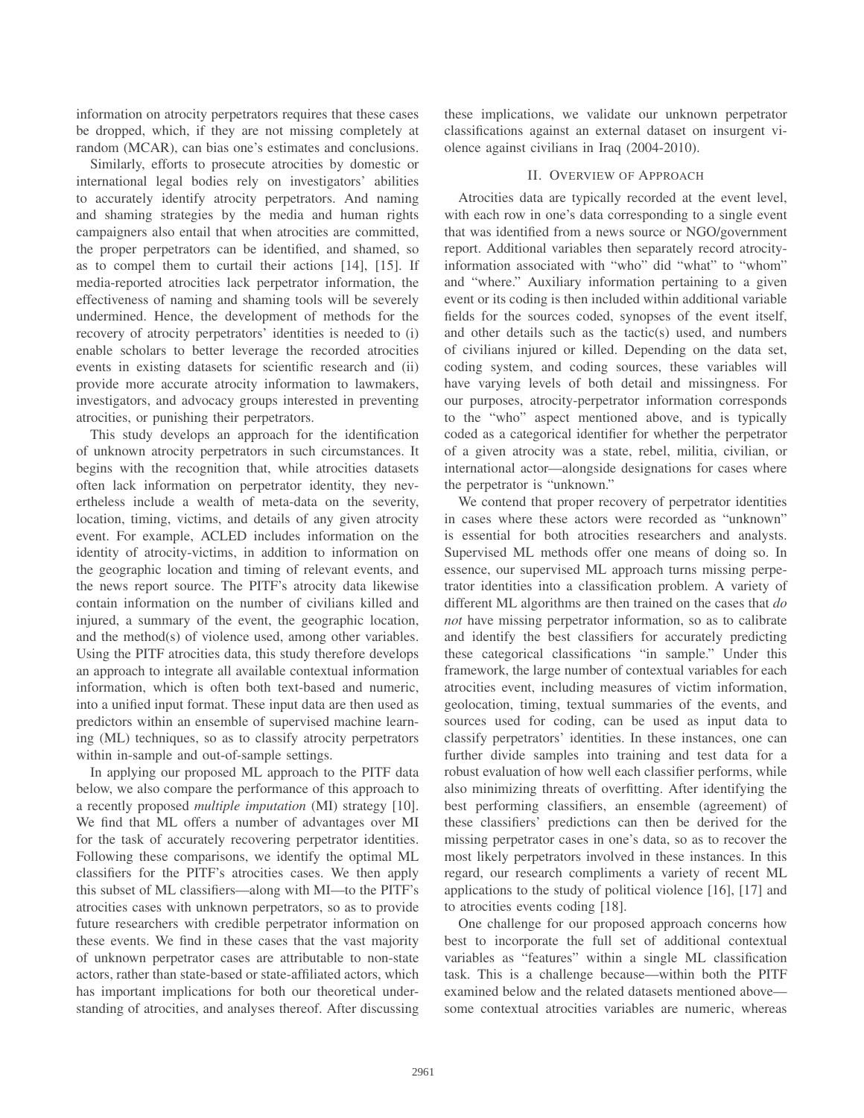information on atrocity perpetrators requires that these cases be dropped, which, if they are not missing completely at random (MCAR), can bias one's estimates and conclusions.

Similarly, efforts to prosecute atrocities by domestic or international legal bodies rely on investigators' abilities to accurately identify atrocity perpetrators. And naming and shaming strategies by the media and human rights campaigners also entail that when atrocities are committed, the proper perpetrators can be identified, and shamed, so as to compel them to curtail their actions [14], [15]. If media-reported atrocities lack perpetrator information, the effectiveness of naming and shaming tools will be severely undermined. Hence, the development of methods for the recovery of atrocity perpetrators' identities is needed to (i) enable scholars to better leverage the recorded atrocities events in existing datasets for scientific research and (ii) provide more accurate atrocity information to lawmakers, investigators, and advocacy groups interested in preventing atrocities, or punishing their perpetrators.

This study develops an approach for the identification of unknown atrocity perpetrators in such circumstances. It begins with the recognition that, while atrocities datasets often lack information on perpetrator identity, they nevertheless include a wealth of meta-data on the severity, location, timing, victims, and details of any given atrocity event. For example, ACLED includes information on the identity of atrocity-victims, in addition to information on the geographic location and timing of relevant events, and the news report source. The PITF's atrocity data likewise contain information on the number of civilians killed and injured, a summary of the event, the geographic location, and the method(s) of violence used, among other variables. Using the PITF atrocities data, this study therefore develops an approach to integrate all available contextual information information, which is often both text-based and numeric, into a unified input format. These input data are then used as predictors within an ensemble of supervised machine learning (ML) techniques, so as to classify atrocity perpetrators within in-sample and out-of-sample settings.

In applying our proposed ML approach to the PITF data below, we also compare the performance of this approach to a recently proposed *multiple imputation* (MI) strategy [10]. We find that ML offers a number of advantages over MI for the task of accurately recovering perpetrator identities. Following these comparisons, we identify the optimal ML classifiers for the PITF's atrocities cases. We then apply this subset of ML classifiers—along with MI—to the PITF's atrocities cases with unknown perpetrators, so as to provide future researchers with credible perpetrator information on these events. We find in these cases that the vast majority of unknown perpetrator cases are attributable to non-state actors, rather than state-based or state-affiliated actors, which has important implications for both our theoretical understanding of atrocities, and analyses thereof. After discussing these implications, we validate our unknown perpetrator classifications against an external dataset on insurgent violence against civilians in Iraq (2004-2010).

# II. OVERVIEW OF APPROACH

Atrocities data are typically recorded at the event level, with each row in one's data corresponding to a single event that was identified from a news source or NGO/government report. Additional variables then separately record atrocityinformation associated with "who" did "what" to "whom" and "where." Auxiliary information pertaining to a given event or its coding is then included within additional variable fields for the sources coded, synopses of the event itself, and other details such as the tactic(s) used, and numbers of civilians injured or killed. Depending on the data set, coding system, and coding sources, these variables will have varying levels of both detail and missingness. For our purposes, atrocity-perpetrator information corresponds to the "who" aspect mentioned above, and is typically coded as a categorical identifier for whether the perpetrator of a given atrocity was a state, rebel, militia, civilian, or international actor—alongside designations for cases where the perpetrator is "unknown."

We contend that proper recovery of perpetrator identities in cases where these actors were recorded as "unknown" is essential for both atrocities researchers and analysts. Supervised ML methods offer one means of doing so. In essence, our supervised ML approach turns missing perpetrator identities into a classification problem. A variety of different ML algorithms are then trained on the cases that *do not* have missing perpetrator information, so as to calibrate and identify the best classifiers for accurately predicting these categorical classifications "in sample." Under this framework, the large number of contextual variables for each atrocities event, including measures of victim information, geolocation, timing, textual summaries of the events, and sources used for coding, can be used as input data to classify perpetrators' identities. In these instances, one can further divide samples into training and test data for a robust evaluation of how well each classifier performs, while also minimizing threats of overfitting. After identifying the best performing classifiers, an ensemble (agreement) of these classifiers' predictions can then be derived for the missing perpetrator cases in one's data, so as to recover the most likely perpetrators involved in these instances. In this regard, our research compliments a variety of recent ML applications to the study of political violence [16], [17] and to atrocities events coding [18].

One challenge for our proposed approach concerns how best to incorporate the full set of additional contextual variables as "features" within a single ML classification task. This is a challenge because—within both the PITF examined below and the related datasets mentioned above some contextual atrocities variables are numeric, whereas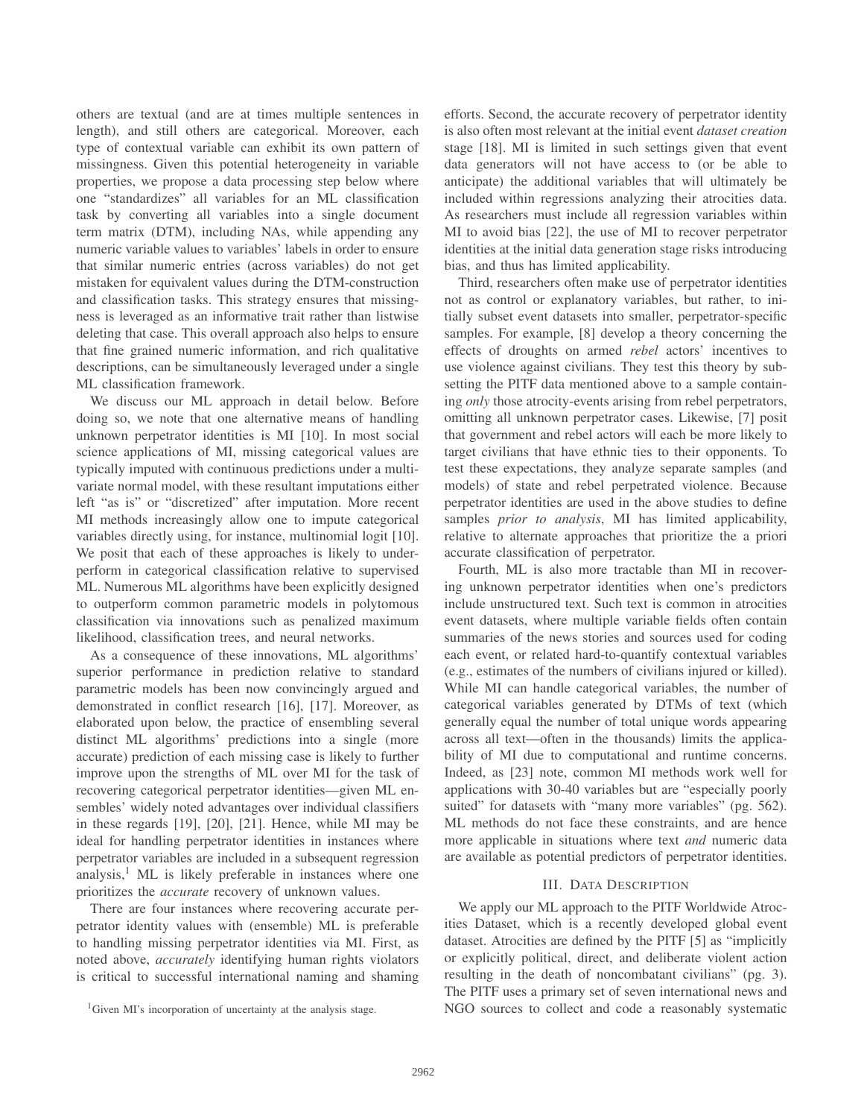others are textual (and are at times multiple sentences in length), and still others are categorical. Moreover, each type of contextual variable can exhibit its own pattern of missingness. Given this potential heterogeneity in variable properties, we propose a data processing step below where one "standardizes" all variables for an ML classification task by converting all variables into a single document term matrix (DTM), including NAs, while appending any numeric variable values to variables' labels in order to ensure that similar numeric entries (across variables) do not get mistaken for equivalent values during the DTM-construction and classification tasks. This strategy ensures that missingness is leveraged as an informative trait rather than listwise deleting that case. This overall approach also helps to ensure that fine grained numeric information, and rich qualitative descriptions, can be simultaneously leveraged under a single ML classification framework.

We discuss our ML approach in detail below. Before doing so, we note that one alternative means of handling unknown perpetrator identities is MI [10]. In most social science applications of MI, missing categorical values are typically imputed with continuous predictions under a multivariate normal model, with these resultant imputations either left "as is" or "discretized" after imputation. More recent MI methods increasingly allow one to impute categorical variables directly using, for instance, multinomial logit [10]. We posit that each of these approaches is likely to underperform in categorical classification relative to supervised ML. Numerous ML algorithms have been explicitly designed to outperform common parametric models in polytomous classification via innovations such as penalized maximum likelihood, classification trees, and neural networks.

As a consequence of these innovations, ML algorithms' superior performance in prediction relative to standard parametric models has been now convincingly argued and demonstrated in conflict research [16], [17]. Moreover, as elaborated upon below, the practice of ensembling several distinct ML algorithms' predictions into a single (more accurate) prediction of each missing case is likely to further improve upon the strengths of ML over MI for the task of recovering categorical perpetrator identities—given ML ensembles' widely noted advantages over individual classifiers in these regards [19], [20], [21]. Hence, while MI may be ideal for handling perpetrator identities in instances where perpetrator variables are included in a subsequent regression analysis, $<sup>1</sup>$  ML is likely preferable in instances where one</sup> prioritizes the *accurate* recovery of unknown values.

There are four instances where recovering accurate perpetrator identity values with (ensemble) ML is preferable to handling missing perpetrator identities via MI. First, as noted above, *accurately* identifying human rights violators is critical to successful international naming and shaming efforts. Second, the accurate recovery of perpetrator identity is also often most relevant at the initial event *dataset creation* stage [18]. MI is limited in such settings given that event data generators will not have access to (or be able to anticipate) the additional variables that will ultimately be included within regressions analyzing their atrocities data. As researchers must include all regression variables within MI to avoid bias [22], the use of MI to recover perpetrator identities at the initial data generation stage risks introducing bias, and thus has limited applicability.

Third, researchers often make use of perpetrator identities not as control or explanatory variables, but rather, to initially subset event datasets into smaller, perpetrator-specific samples. For example, [8] develop a theory concerning the effects of droughts on armed *rebel* actors' incentives to use violence against civilians. They test this theory by subsetting the PITF data mentioned above to a sample containing *only* those atrocity-events arising from rebel perpetrators, omitting all unknown perpetrator cases. Likewise, [7] posit that government and rebel actors will each be more likely to target civilians that have ethnic ties to their opponents. To test these expectations, they analyze separate samples (and models) of state and rebel perpetrated violence. Because perpetrator identities are used in the above studies to define samples *prior to analysis*, MI has limited applicability, relative to alternate approaches that prioritize the a priori accurate classification of perpetrator.

Fourth, ML is also more tractable than MI in recovering unknown perpetrator identities when one's predictors include unstructured text. Such text is common in atrocities event datasets, where multiple variable fields often contain summaries of the news stories and sources used for coding each event, or related hard-to-quantify contextual variables (e.g., estimates of the numbers of civilians injured or killed). While MI can handle categorical variables, the number of categorical variables generated by DTMs of text (which generally equal the number of total unique words appearing across all text—often in the thousands) limits the applicability of MI due to computational and runtime concerns. Indeed, as [23] note, common MI methods work well for applications with 30-40 variables but are "especially poorly suited" for datasets with "many more variables" (pg. 562). ML methods do not face these constraints, and are hence more applicable in situations where text *and* numeric data are available as potential predictors of perpetrator identities.

# III. DATA DESCRIPTION

We apply our ML approach to the PITF Worldwide Atrocities Dataset, which is a recently developed global event dataset. Atrocities are defined by the PITF [5] as "implicitly or explicitly political, direct, and deliberate violent action resulting in the death of noncombatant civilians" (pg. 3). The PITF uses a primary set of seven international news and NGO sources to collect and code a reasonably systematic

<sup>&</sup>lt;sup>1</sup>Given MI's incorporation of uncertainty at the analysis stage.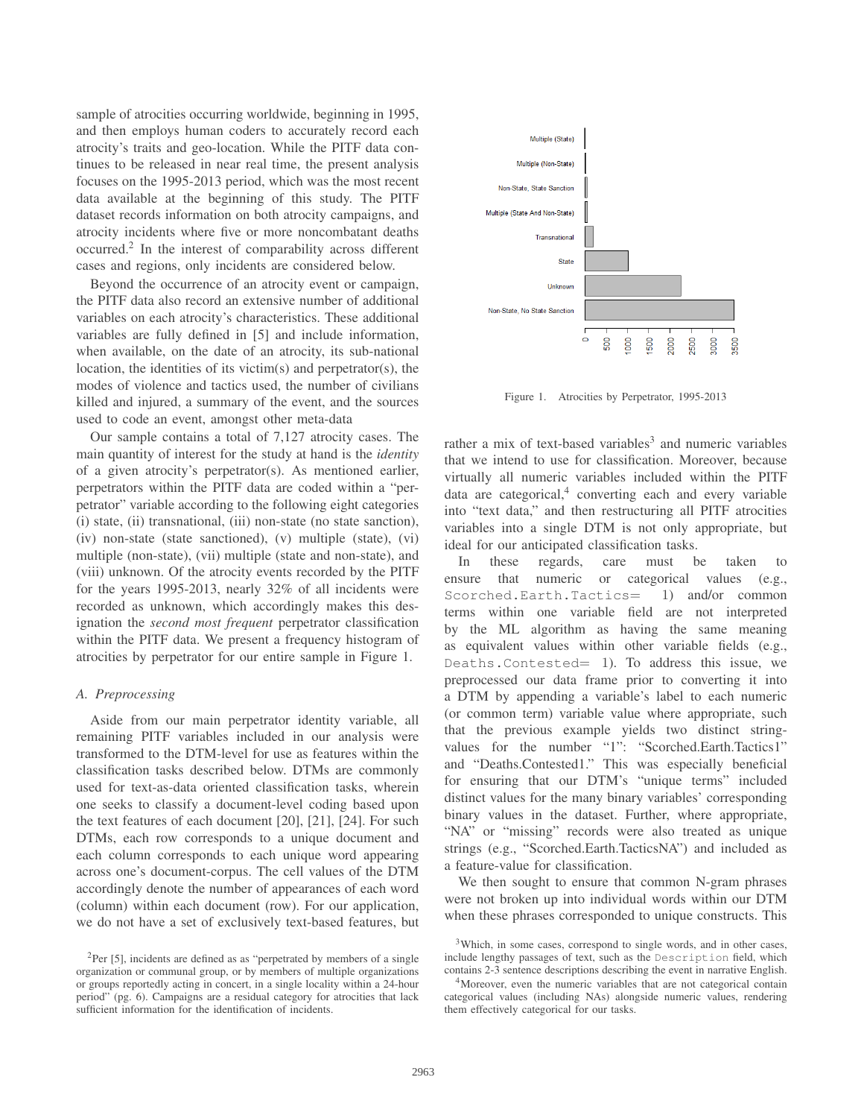sample of atrocities occurring worldwide, beginning in 1995, and then employs human coders to accurately record each atrocity's traits and geo-location. While the PITF data continues to be released in near real time, the present analysis focuses on the 1995-2013 period, which was the most recent data available at the beginning of this study. The PITF dataset records information on both atrocity campaigns, and atrocity incidents where five or more noncombatant deaths occurred.<sup>2</sup> In the interest of comparability across different cases and regions, only incidents are considered below.

Beyond the occurrence of an atrocity event or campaign, the PITF data also record an extensive number of additional variables on each atrocity's characteristics. These additional variables are fully defined in [5] and include information, when available, on the date of an atrocity, its sub-national location, the identities of its victim(s) and perpetrator(s), the modes of violence and tactics used, the number of civilians killed and injured, a summary of the event, and the sources used to code an event, amongst other meta-data

Our sample contains a total of 7,127 atrocity cases. The main quantity of interest for the study at hand is the *identity* of a given atrocity's perpetrator(s). As mentioned earlier, perpetrators within the PITF data are coded within a "perpetrator" variable according to the following eight categories (i) state, (ii) transnational, (iii) non-state (no state sanction), (iv) non-state (state sanctioned), (v) multiple (state), (vi) multiple (non-state), (vii) multiple (state and non-state), and (viii) unknown. Of the atrocity events recorded by the PITF for the years 1995-2013, nearly 32% of all incidents were recorded as unknown, which accordingly makes this designation the *second most frequent* perpetrator classification within the PITF data. We present a frequency histogram of atrocities by perpetrator for our entire sample in Figure 1.

#### *A. Preprocessing*

Aside from our main perpetrator identity variable, all remaining PITF variables included in our analysis were transformed to the DTM-level for use as features within the classification tasks described below. DTMs are commonly used for text-as-data oriented classification tasks, wherein one seeks to classify a document-level coding based upon the text features of each document [20], [21], [24]. For such DTMs, each row corresponds to a unique document and each column corresponds to each unique word appearing across one's document-corpus. The cell values of the DTM accordingly denote the number of appearances of each word (column) within each document (row). For our application, we do not have a set of exclusively text-based features, but



Figure 1. Atrocities by Perpetrator, 1995-2013

rather a mix of text-based variables<sup>3</sup> and numeric variables that we intend to use for classification. Moreover, because virtually all numeric variables included within the PITF data are categorical,<sup>4</sup> converting each and every variable into "text data," and then restructuring all PITF atrocities variables into a single DTM is not only appropriate, but ideal for our anticipated classification tasks.

In these regards, care must be taken to ensure that numeric or categorical values (e.g., Scorched.Earth.Tactics= 1) and/or common terms within one variable field are not interpreted by the ML algorithm as having the same meaning as equivalent values within other variable fields (e.g., Deaths.Contested= 1). To address this issue, we preprocessed our data frame prior to converting it into a DTM by appending a variable's label to each numeric (or common term) variable value where appropriate, such that the previous example yields two distinct stringvalues for the number "1": "Scorched.Earth.Tactics1" and "Deaths.Contested1." This was especially beneficial for ensuring that our DTM's "unique terms" included distinct values for the many binary variables' corresponding binary values in the dataset. Further, where appropriate, "NA" or "missing" records were also treated as unique strings (e.g., "Scorched.Earth.TacticsNA") and included as a feature-value for classification.

We then sought to ensure that common N-gram phrases were not broken up into individual words within our DTM when these phrases corresponded to unique constructs. This

 $2$ Per [5], incidents are defined as as "perpetrated by members of a single organization or communal group, or by members of multiple organizations or groups reportedly acting in concert, in a single locality within a 24-hour period" (pg. 6). Campaigns are a residual category for atrocities that lack sufficient information for the identification of incidents.

<sup>3</sup>Which, in some cases, correspond to single words, and in other cases, include lengthy passages of text, such as the Description field, which contains 2-3 sentence descriptions describing the event in narrative English.

<sup>&</sup>lt;sup>4</sup>Moreover, even the numeric variables that are not categorical contain categorical values (including NAs) alongside numeric values, rendering them effectively categorical for our tasks.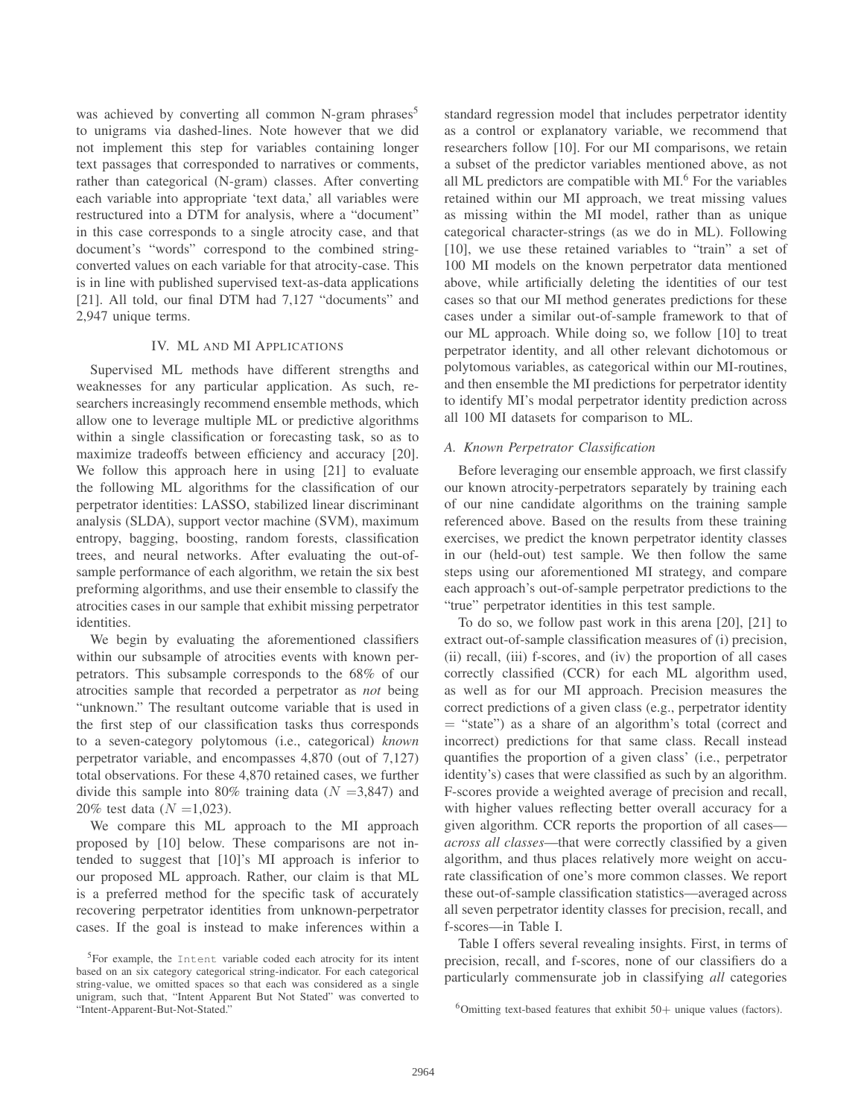was achieved by converting all common N-gram phrases<sup>5</sup> to unigrams via dashed-lines. Note however that we did not implement this step for variables containing longer text passages that corresponded to narratives or comments, rather than categorical (N-gram) classes. After converting each variable into appropriate 'text data,' all variables were restructured into a DTM for analysis, where a "document" in this case corresponds to a single atrocity case, and that document's "words" correspond to the combined stringconverted values on each variable for that atrocity-case. This is in line with published supervised text-as-data applications [21]. All told, our final DTM had 7,127 "documents" and 2,947 unique terms.

#### IV. ML AND MI APPLICATIONS

Supervised ML methods have different strengths and weaknesses for any particular application. As such, researchers increasingly recommend ensemble methods, which allow one to leverage multiple ML or predictive algorithms within a single classification or forecasting task, so as to maximize tradeoffs between efficiency and accuracy [20]. We follow this approach here in using [21] to evaluate the following ML algorithms for the classification of our perpetrator identities: LASSO, stabilized linear discriminant analysis (SLDA), support vector machine (SVM), maximum entropy, bagging, boosting, random forests, classification trees, and neural networks. After evaluating the out-ofsample performance of each algorithm, we retain the six best preforming algorithms, and use their ensemble to classify the atrocities cases in our sample that exhibit missing perpetrator identities.

We begin by evaluating the aforementioned classifiers within our subsample of atrocities events with known perpetrators. This subsample corresponds to the 68% of our atrocities sample that recorded a perpetrator as *not* being "unknown." The resultant outcome variable that is used in the first step of our classification tasks thus corresponds to a seven-category polytomous (i.e., categorical) *known* perpetrator variable, and encompasses 4,870 (out of 7,127) total observations. For these 4,870 retained cases, we further divide this sample into 80% training data ( $N = 3,847$ ) and 20% test data ( $N = 1,023$ ).

We compare this ML approach to the MI approach proposed by [10] below. These comparisons are not intended to suggest that [10]'s MI approach is inferior to our proposed ML approach. Rather, our claim is that ML is a preferred method for the specific task of accurately recovering perpetrator identities from unknown-perpetrator cases. If the goal is instead to make inferences within a standard regression model that includes perpetrator identity as a control or explanatory variable, we recommend that researchers follow [10]. For our MI comparisons, we retain a subset of the predictor variables mentioned above, as not all ML predictors are compatible with MI.<sup>6</sup> For the variables retained within our MI approach, we treat missing values as missing within the MI model, rather than as unique categorical character-strings (as we do in ML). Following [10], we use these retained variables to "train" a set of 100 MI models on the known perpetrator data mentioned above, while artificially deleting the identities of our test cases so that our MI method generates predictions for these cases under a similar out-of-sample framework to that of our ML approach. While doing so, we follow [10] to treat perpetrator identity, and all other relevant dichotomous or polytomous variables, as categorical within our MI-routines, and then ensemble the MI predictions for perpetrator identity to identify MI's modal perpetrator identity prediction across all 100 MI datasets for comparison to ML.

#### *A. Known Perpetrator Classification*

Before leveraging our ensemble approach, we first classify our known atrocity-perpetrators separately by training each of our nine candidate algorithms on the training sample referenced above. Based on the results from these training exercises, we predict the known perpetrator identity classes in our (held-out) test sample. We then follow the same steps using our aforementioned MI strategy, and compare each approach's out-of-sample perpetrator predictions to the "true" perpetrator identities in this test sample.

To do so, we follow past work in this arena [20], [21] to extract out-of-sample classification measures of (i) precision, (ii) recall, (iii) f-scores, and (iv) the proportion of all cases correctly classified (CCR) for each ML algorithm used, as well as for our MI approach. Precision measures the correct predictions of a given class (e.g., perpetrator identity = "state") as a share of an algorithm's total (correct and incorrect) predictions for that same class. Recall instead quantifies the proportion of a given class' (i.e., perpetrator identity's) cases that were classified as such by an algorithm. F-scores provide a weighted average of precision and recall, with higher values reflecting better overall accuracy for a given algorithm. CCR reports the proportion of all cases *across all classes*—that were correctly classified by a given algorithm, and thus places relatively more weight on accurate classification of one's more common classes. We report these out-of-sample classification statistics—averaged across all seven perpetrator identity classes for precision, recall, and f-scores—in Table I.

Table I offers several revealing insights. First, in terms of precision, recall, and f-scores, none of our classifiers do a particularly commensurate job in classifying *all* categories

<sup>&</sup>lt;sup>5</sup>For example, the Intent variable coded each atrocity for its intent based on an six category categorical string-indicator. For each categorical string-value, we omitted spaces so that each was considered as a single unigram, such that, "Intent Apparent But Not Stated" was converted to "Intent-Apparent-But-Not-Stated."

 $6$ Omitting text-based features that exhibit 50+ unique values (factors).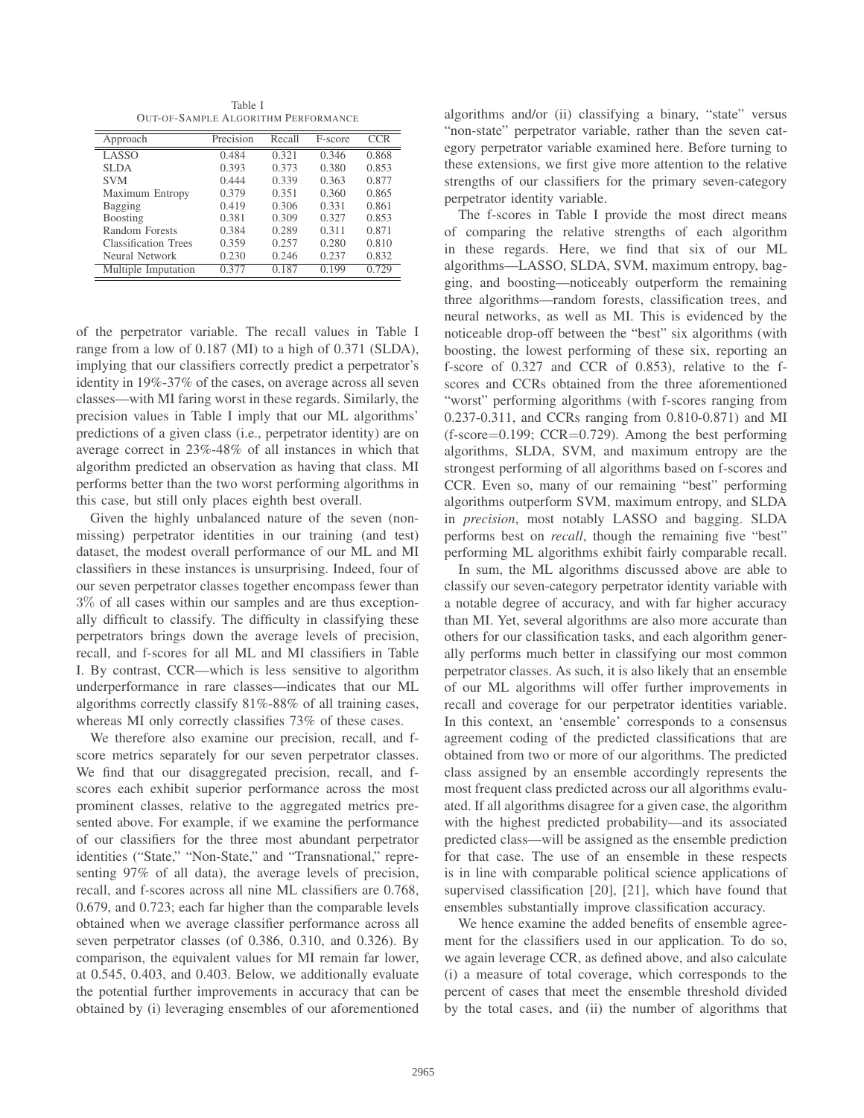Table I OUT-OF-SAMPLE ALGORITHM PERFORMANCE

| Approach                    | Precision | Recall | F-score | <b>CCR</b> |
|-----------------------------|-----------|--------|---------|------------|
| <b>LASSO</b>                | 0.484     | 0.321  | 0.346   | 0.868      |
| <b>SLDA</b>                 | 0.393     | 0.373  | 0.380   | 0.853      |
| <b>SVM</b>                  | 0.444     | 0.339  | 0.363   | 0.877      |
| Maximum Entropy             | 0.379     | 0.351  | 0.360   | 0.865      |
| Bagging                     | 0.419     | 0.306  | 0.331   | 0.861      |
| Boosting                    | 0.381     | 0.309  | 0.327   | 0.853      |
| Random Forests              | 0.384     | 0.289  | 0.311   | 0.871      |
| <b>Classification Trees</b> | 0.359     | 0.257  | 0.280   | 0.810      |
| Neural Network              | 0.230     | 0.246  | 0.237   | 0.832      |
| Multiple Imputation         | 0.377     | 0.187  | 0.199   | 0.729      |

of the perpetrator variable. The recall values in Table I range from a low of 0.187 (MI) to a high of 0.371 (SLDA), implying that our classifiers correctly predict a perpetrator's identity in 19%-37% of the cases, on average across all seven classes—with MI faring worst in these regards. Similarly, the precision values in Table I imply that our ML algorithms' predictions of a given class (i.e., perpetrator identity) are on average correct in 23%-48% of all instances in which that algorithm predicted an observation as having that class. MI performs better than the two worst performing algorithms in this case, but still only places eighth best overall.

Given the highly unbalanced nature of the seven (nonmissing) perpetrator identities in our training (and test) dataset, the modest overall performance of our ML and MI classifiers in these instances is unsurprising. Indeed, four of our seven perpetrator classes together encompass fewer than 3% of all cases within our samples and are thus exceptionally difficult to classify. The difficulty in classifying these perpetrators brings down the average levels of precision, recall, and f-scores for all ML and MI classifiers in Table I. By contrast, CCR—which is less sensitive to algorithm underperformance in rare classes—indicates that our ML algorithms correctly classify 81%-88% of all training cases, whereas MI only correctly classifies 73% of these cases.

We therefore also examine our precision, recall, and fscore metrics separately for our seven perpetrator classes. We find that our disaggregated precision, recall, and fscores each exhibit superior performance across the most prominent classes, relative to the aggregated metrics presented above. For example, if we examine the performance of our classifiers for the three most abundant perpetrator identities ("State," "Non-State," and "Transnational," representing 97% of all data), the average levels of precision, recall, and f-scores across all nine ML classifiers are 0.768, 0.679, and 0.723; each far higher than the comparable levels obtained when we average classifier performance across all seven perpetrator classes (of 0.386, 0.310, and 0.326). By comparison, the equivalent values for MI remain far lower, at 0.545, 0.403, and 0.403. Below, we additionally evaluate the potential further improvements in accuracy that can be obtained by (i) leveraging ensembles of our aforementioned algorithms and/or (ii) classifying a binary, "state" versus "non-state" perpetrator variable, rather than the seven category perpetrator variable examined here. Before turning to these extensions, we first give more attention to the relative strengths of our classifiers for the primary seven-category perpetrator identity variable.

The f-scores in Table I provide the most direct means of comparing the relative strengths of each algorithm in these regards. Here, we find that six of our ML algorithms—LASSO, SLDA, SVM, maximum entropy, bagging, and boosting—noticeably outperform the remaining three algorithms—random forests, classification trees, and neural networks, as well as MI. This is evidenced by the noticeable drop-off between the "best" six algorithms (with boosting, the lowest performing of these six, reporting an f-score of 0.327 and CCR of 0.853), relative to the fscores and CCRs obtained from the three aforementioned "worst" performing algorithms (with f-scores ranging from 0.237-0.311, and CCRs ranging from 0.810-0.871) and MI  $(f-score=0.199; CCR=0.729)$ . Among the best performing algorithms, SLDA, SVM, and maximum entropy are the strongest performing of all algorithms based on f-scores and CCR. Even so, many of our remaining "best" performing algorithms outperform SVM, maximum entropy, and SLDA in *precision*, most notably LASSO and bagging. SLDA performs best on *recall*, though the remaining five "best" performing ML algorithms exhibit fairly comparable recall.

In sum, the ML algorithms discussed above are able to classify our seven-category perpetrator identity variable with a notable degree of accuracy, and with far higher accuracy than MI. Yet, several algorithms are also more accurate than others for our classification tasks, and each algorithm generally performs much better in classifying our most common perpetrator classes. As such, it is also likely that an ensemble of our ML algorithms will offer further improvements in recall and coverage for our perpetrator identities variable. In this context, an 'ensemble' corresponds to a consensus agreement coding of the predicted classifications that are obtained from two or more of our algorithms. The predicted class assigned by an ensemble accordingly represents the most frequent class predicted across our all algorithms evaluated. If all algorithms disagree for a given case, the algorithm with the highest predicted probability—and its associated predicted class—will be assigned as the ensemble prediction for that case. The use of an ensemble in these respects is in line with comparable political science applications of supervised classification [20], [21], which have found that ensembles substantially improve classification accuracy.

We hence examine the added benefits of ensemble agreement for the classifiers used in our application. To do so, we again leverage CCR, as defined above, and also calculate (i) a measure of total coverage, which corresponds to the percent of cases that meet the ensemble threshold divided by the total cases, and (ii) the number of algorithms that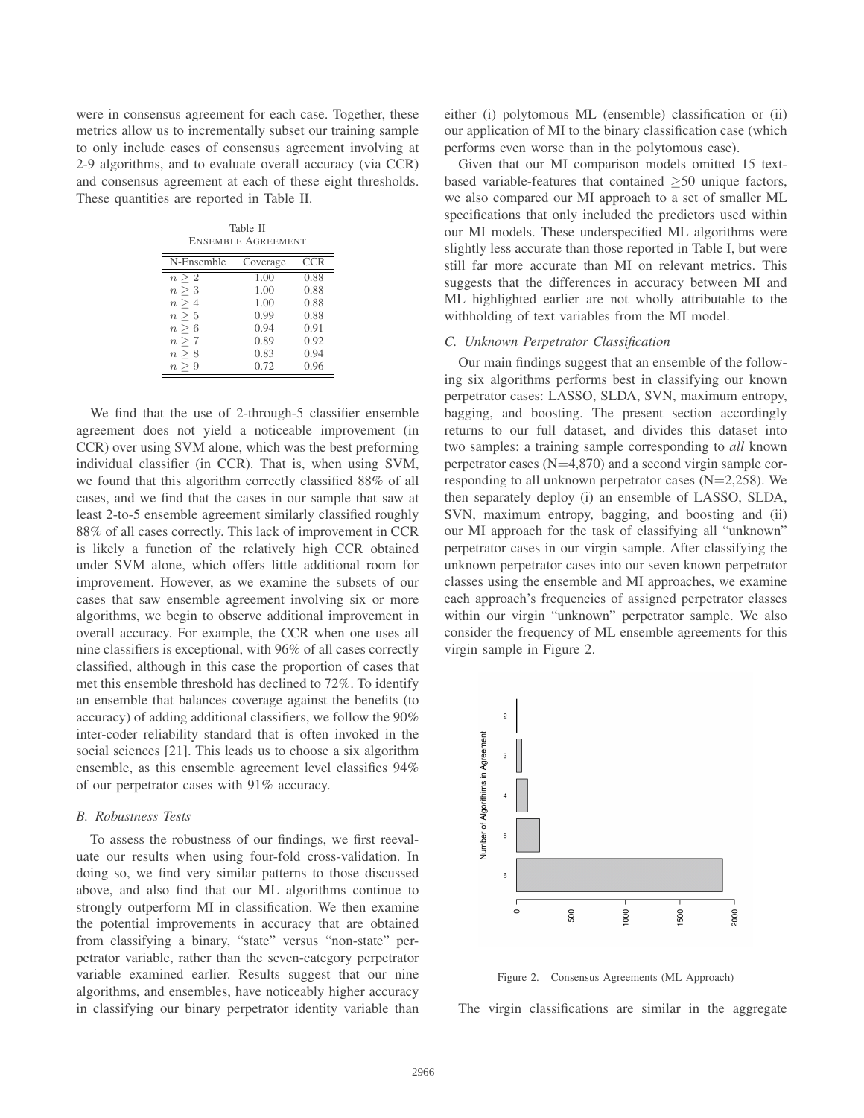were in consensus agreement for each case. Together, these metrics allow us to incrementally subset our training sample to only include cases of consensus agreement involving at 2-9 algorithms, and to evaluate overall accuracy (via CCR) and consensus agreement at each of these eight thresholds. These quantities are reported in Table II.

Table II ENSEMBLE AGREEMENT

| N-Ensemble | Coverage | <b>CCR</b> |
|------------|----------|------------|
| $n \geq 2$ | 1.00     | 0.88       |
| $n \geq 3$ | 1.00     | 0.88       |
| $n \geq 4$ | 1.00     | 0.88       |
| $n \geq 5$ | 0.99     | 0.88       |
| $n \geq 6$ | 0.94     | 0.91       |
| $n \geq 7$ | 0.89     | 0.92       |
| $n \geq 8$ | 0.83     | 0.94       |
| n > 9      | 0.72     | 0.96       |
|            |          |            |

We find that the use of 2-through-5 classifier ensemble agreement does not yield a noticeable improvement (in CCR) over using SVM alone, which was the best preforming individual classifier (in CCR). That is, when using SVM, we found that this algorithm correctly classified 88% of all cases, and we find that the cases in our sample that saw at least 2-to-5 ensemble agreement similarly classified roughly 88% of all cases correctly. This lack of improvement in CCR is likely a function of the relatively high CCR obtained under SVM alone, which offers little additional room for improvement. However, as we examine the subsets of our cases that saw ensemble agreement involving six or more algorithms, we begin to observe additional improvement in overall accuracy. For example, the CCR when one uses all nine classifiers is exceptional, with 96% of all cases correctly classified, although in this case the proportion of cases that met this ensemble threshold has declined to 72%. To identify an ensemble that balances coverage against the benefits (to accuracy) of adding additional classifiers, we follow the 90% inter-coder reliability standard that is often invoked in the social sciences [21]. This leads us to choose a six algorithm ensemble, as this ensemble agreement level classifies 94% of our perpetrator cases with 91% accuracy.

# *B. Robustness Tests*

To assess the robustness of our findings, we first reevaluate our results when using four-fold cross-validation. In doing so, we find very similar patterns to those discussed above, and also find that our ML algorithms continue to strongly outperform MI in classification. We then examine the potential improvements in accuracy that are obtained from classifying a binary, "state" versus "non-state" perpetrator variable, rather than the seven-category perpetrator variable examined earlier. Results suggest that our nine algorithms, and ensembles, have noticeably higher accuracy in classifying our binary perpetrator identity variable than either (i) polytomous ML (ensemble) classification or (ii) our application of MI to the binary classification case (which performs even worse than in the polytomous case).

Given that our MI comparison models omitted 15 textbased variable-features that contained  $\geq 50$  unique factors, we also compared our MI approach to a set of smaller ML specifications that only included the predictors used within our MI models. These underspecified ML algorithms were slightly less accurate than those reported in Table I, but were still far more accurate than MI on relevant metrics. This suggests that the differences in accuracy between MI and ML highlighted earlier are not wholly attributable to the withholding of text variables from the MI model.

# *C. Unknown Perpetrator Classification*

Our main findings suggest that an ensemble of the following six algorithms performs best in classifying our known perpetrator cases: LASSO, SLDA, SVN, maximum entropy, bagging, and boosting. The present section accordingly returns to our full dataset, and divides this dataset into two samples: a training sample corresponding to *all* known perpetrator cases (N=4,870) and a second virgin sample corresponding to all unknown perpetrator cases (N=2,258). We then separately deploy (i) an ensemble of LASSO, SLDA, SVN, maximum entropy, bagging, and boosting and (ii) our MI approach for the task of classifying all "unknown" perpetrator cases in our virgin sample. After classifying the unknown perpetrator cases into our seven known perpetrator classes using the ensemble and MI approaches, we examine each approach's frequencies of assigned perpetrator classes within our virgin "unknown" perpetrator sample. We also consider the frequency of ML ensemble agreements for this virgin sample in Figure 2.



Figure 2. Consensus Agreements (ML Approach)

The virgin classifications are similar in the aggregate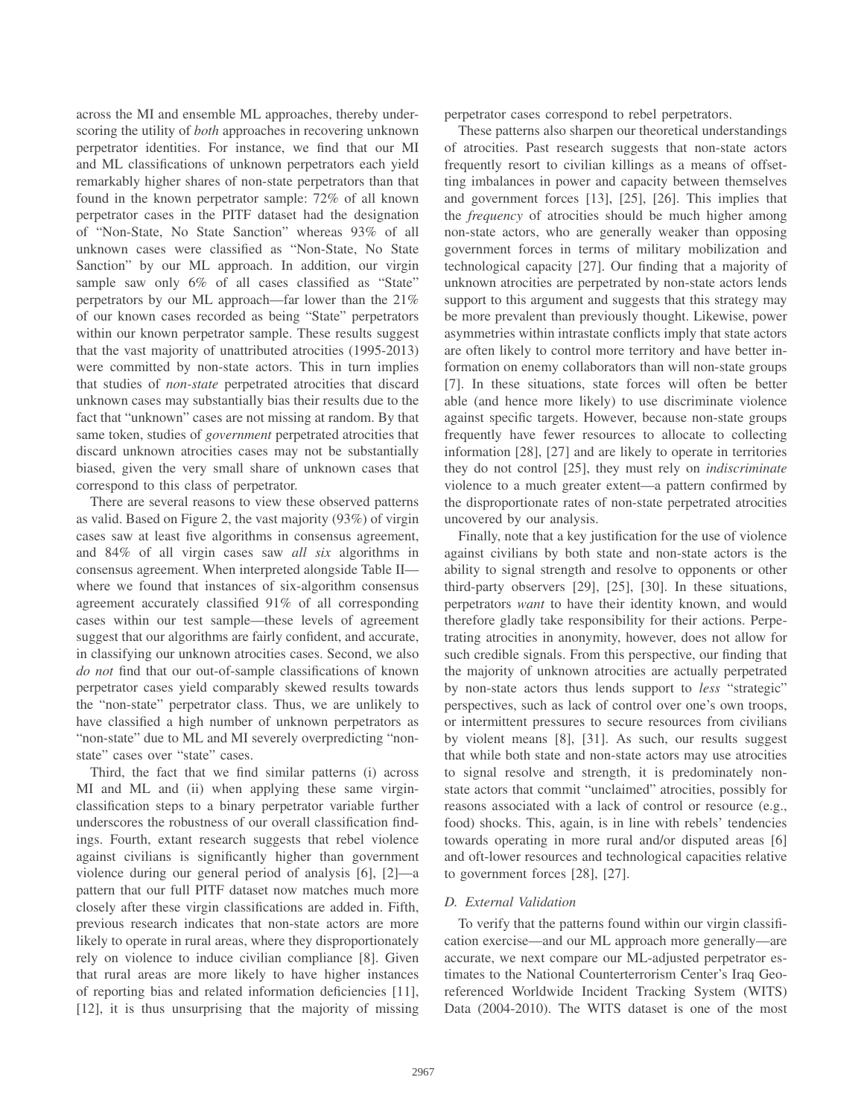across the MI and ensemble ML approaches, thereby underscoring the utility of *both* approaches in recovering unknown perpetrator identities. For instance, we find that our MI and ML classifications of unknown perpetrators each yield remarkably higher shares of non-state perpetrators than that found in the known perpetrator sample: 72% of all known perpetrator cases in the PITF dataset had the designation of "Non-State, No State Sanction" whereas 93% of all unknown cases were classified as "Non-State, No State Sanction" by our ML approach. In addition, our virgin sample saw only 6% of all cases classified as "State" perpetrators by our ML approach—far lower than the 21% of our known cases recorded as being "State" perpetrators within our known perpetrator sample. These results suggest that the vast majority of unattributed atrocities (1995-2013) were committed by non-state actors. This in turn implies that studies of *non-state* perpetrated atrocities that discard unknown cases may substantially bias their results due to the fact that "unknown" cases are not missing at random. By that same token, studies of *government* perpetrated atrocities that discard unknown atrocities cases may not be substantially biased, given the very small share of unknown cases that correspond to this class of perpetrator.

There are several reasons to view these observed patterns as valid. Based on Figure 2, the vast majority (93%) of virgin cases saw at least five algorithms in consensus agreement, and 84% of all virgin cases saw *all six* algorithms in consensus agreement. When interpreted alongside Table II where we found that instances of six-algorithm consensus agreement accurately classified 91% of all corresponding cases within our test sample—these levels of agreement suggest that our algorithms are fairly confident, and accurate, in classifying our unknown atrocities cases. Second, we also *do not* find that our out-of-sample classifications of known perpetrator cases yield comparably skewed results towards the "non-state" perpetrator class. Thus, we are unlikely to have classified a high number of unknown perpetrators as "non-state" due to ML and MI severely overpredicting "nonstate" cases over "state" cases.

Third, the fact that we find similar patterns (i) across MI and ML and (ii) when applying these same virginclassification steps to a binary perpetrator variable further underscores the robustness of our overall classification findings. Fourth, extant research suggests that rebel violence against civilians is significantly higher than government violence during our general period of analysis [6], [2]—a pattern that our full PITF dataset now matches much more closely after these virgin classifications are added in. Fifth, previous research indicates that non-state actors are more likely to operate in rural areas, where they disproportionately rely on violence to induce civilian compliance [8]. Given that rural areas are more likely to have higher instances of reporting bias and related information deficiencies [11], [12], it is thus unsurprising that the majority of missing perpetrator cases correspond to rebel perpetrators.

These patterns also sharpen our theoretical understandings of atrocities. Past research suggests that non-state actors frequently resort to civilian killings as a means of offsetting imbalances in power and capacity between themselves and government forces [13], [25], [26]. This implies that the *frequency* of atrocities should be much higher among non-state actors, who are generally weaker than opposing government forces in terms of military mobilization and technological capacity [27]. Our finding that a majority of unknown atrocities are perpetrated by non-state actors lends support to this argument and suggests that this strategy may be more prevalent than previously thought. Likewise, power asymmetries within intrastate conflicts imply that state actors are often likely to control more territory and have better information on enemy collaborators than will non-state groups [7]. In these situations, state forces will often be better able (and hence more likely) to use discriminate violence against specific targets. However, because non-state groups frequently have fewer resources to allocate to collecting information [28], [27] and are likely to operate in territories they do not control [25], they must rely on *indiscriminate* violence to a much greater extent—a pattern confirmed by the disproportionate rates of non-state perpetrated atrocities uncovered by our analysis.

Finally, note that a key justification for the use of violence against civilians by both state and non-state actors is the ability to signal strength and resolve to opponents or other third-party observers [29], [25], [30]. In these situations, perpetrators *want* to have their identity known, and would therefore gladly take responsibility for their actions. Perpetrating atrocities in anonymity, however, does not allow for such credible signals. From this perspective, our finding that the majority of unknown atrocities are actually perpetrated by non-state actors thus lends support to *less* "strategic" perspectives, such as lack of control over one's own troops, or intermittent pressures to secure resources from civilians by violent means [8], [31]. As such, our results suggest that while both state and non-state actors may use atrocities to signal resolve and strength, it is predominately nonstate actors that commit "unclaimed" atrocities, possibly for reasons associated with a lack of control or resource (e.g., food) shocks. This, again, is in line with rebels' tendencies towards operating in more rural and/or disputed areas [6] and oft-lower resources and technological capacities relative to government forces [28], [27].

# *D. External Validation*

To verify that the patterns found within our virgin classification exercise—and our ML approach more generally—are accurate, we next compare our ML-adjusted perpetrator estimates to the National Counterterrorism Center's Iraq Georeferenced Worldwide Incident Tracking System (WITS) Data (2004-2010). The WITS dataset is one of the most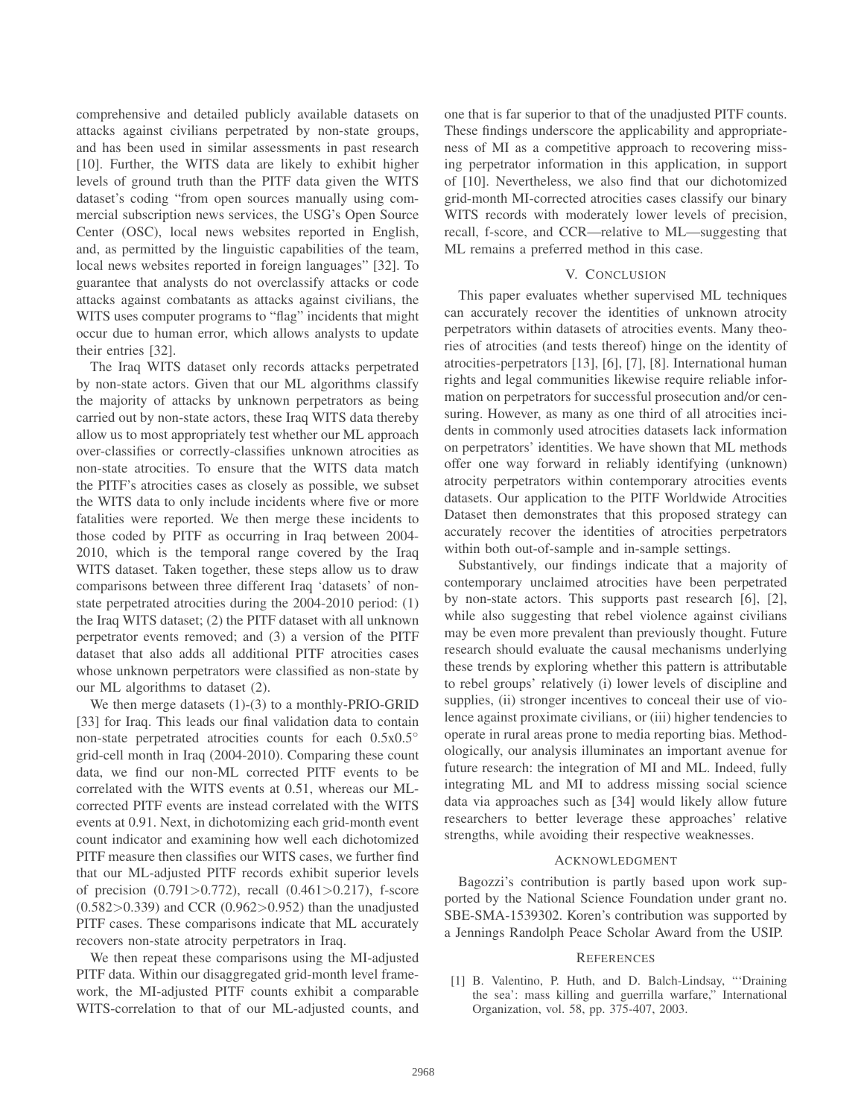comprehensive and detailed publicly available datasets on attacks against civilians perpetrated by non-state groups, and has been used in similar assessments in past research [10]. Further, the WITS data are likely to exhibit higher levels of ground truth than the PITF data given the WITS dataset's coding "from open sources manually using commercial subscription news services, the USG's Open Source Center (OSC), local news websites reported in English, and, as permitted by the linguistic capabilities of the team, local news websites reported in foreign languages" [32]. To guarantee that analysts do not overclassify attacks or code attacks against combatants as attacks against civilians, the WITS uses computer programs to "flag" incidents that might occur due to human error, which allows analysts to update their entries [32].

The Iraq WITS dataset only records attacks perpetrated by non-state actors. Given that our ML algorithms classify the majority of attacks by unknown perpetrators as being carried out by non-state actors, these Iraq WITS data thereby allow us to most appropriately test whether our ML approach over-classifies or correctly-classifies unknown atrocities as non-state atrocities. To ensure that the WITS data match the PITF's atrocities cases as closely as possible, we subset the WITS data to only include incidents where five or more fatalities were reported. We then merge these incidents to those coded by PITF as occurring in Iraq between 2004- 2010, which is the temporal range covered by the Iraq WITS dataset. Taken together, these steps allow us to draw comparisons between three different Iraq 'datasets' of nonstate perpetrated atrocities during the 2004-2010 period: (1) the Iraq WITS dataset; (2) the PITF dataset with all unknown perpetrator events removed; and (3) a version of the PITF dataset that also adds all additional PITF atrocities cases whose unknown perpetrators were classified as non-state by our ML algorithms to dataset (2).

We then merge datasets (1)-(3) to a monthly-PRIO-GRID [33] for Iraq. This leads our final validation data to contain non-state perpetrated atrocities counts for each 0.5x0.5° grid-cell month in Iraq (2004-2010). Comparing these count data, we find our non-ML corrected PITF events to be correlated with the WITS events at 0.51, whereas our MLcorrected PITF events are instead correlated with the WITS events at 0.91. Next, in dichotomizing each grid-month event count indicator and examining how well each dichotomized PITF measure then classifies our WITS cases, we further find that our ML-adjusted PITF records exhibit superior levels of precision (0.791>0.772), recall (0.461>0.217), f-score (0.582>0.339) and CCR (0.962>0.952) than the unadjusted PITF cases. These comparisons indicate that ML accurately recovers non-state atrocity perpetrators in Iraq.

We then repeat these comparisons using the MI-adjusted PITF data. Within our disaggregated grid-month level framework, the MI-adjusted PITF counts exhibit a comparable WITS-correlation to that of our ML-adjusted counts, and one that is far superior to that of the unadjusted PITF counts. These findings underscore the applicability and appropriateness of MI as a competitive approach to recovering missing perpetrator information in this application, in support of [10]. Nevertheless, we also find that our dichotomized grid-month MI-corrected atrocities cases classify our binary WITS records with moderately lower levels of precision, recall, f-score, and CCR—relative to ML—suggesting that ML remains a preferred method in this case.

#### V. CONCLUSION

This paper evaluates whether supervised ML techniques can accurately recover the identities of unknown atrocity perpetrators within datasets of atrocities events. Many theories of atrocities (and tests thereof) hinge on the identity of atrocities-perpetrators [13], [6], [7], [8]. International human rights and legal communities likewise require reliable information on perpetrators for successful prosecution and/or censuring. However, as many as one third of all atrocities incidents in commonly used atrocities datasets lack information on perpetrators' identities. We have shown that ML methods offer one way forward in reliably identifying (unknown) atrocity perpetrators within contemporary atrocities events datasets. Our application to the PITF Worldwide Atrocities Dataset then demonstrates that this proposed strategy can accurately recover the identities of atrocities perpetrators within both out-of-sample and in-sample settings.

Substantively, our findings indicate that a majority of contemporary unclaimed atrocities have been perpetrated by non-state actors. This supports past research [6], [2], while also suggesting that rebel violence against civilians may be even more prevalent than previously thought. Future research should evaluate the causal mechanisms underlying these trends by exploring whether this pattern is attributable to rebel groups' relatively (i) lower levels of discipline and supplies, (ii) stronger incentives to conceal their use of violence against proximate civilians, or (iii) higher tendencies to operate in rural areas prone to media reporting bias. Methodologically, our analysis illuminates an important avenue for future research: the integration of MI and ML. Indeed, fully integrating ML and MI to address missing social science data via approaches such as [34] would likely allow future researchers to better leverage these approaches' relative strengths, while avoiding their respective weaknesses.

### ACKNOWLEDGMENT

Bagozzi's contribution is partly based upon work supported by the National Science Foundation under grant no. SBE-SMA-1539302. Koren's contribution was supported by a Jennings Randolph Peace Scholar Award from the USIP.

# **REFERENCES**

[1] B. Valentino, P. Huth, and D. Balch-Lindsay, "'Draining the sea': mass killing and guerrilla warfare," International Organization, vol. 58, pp. 375-407, 2003.